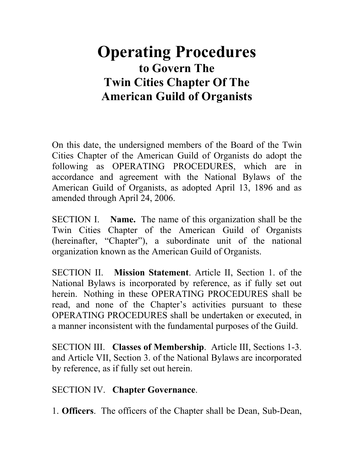# **Operating Procedures to Govern The Twin Cities Chapter Of The American Guild of Organists**

On this date, the undersigned members of the Board of the Twin Cities Chapter of the American Guild of Organists do adopt the following as OPERATING PROCEDURES, which are in accordance and agreement with the National Bylaws of the American Guild of Organists, as adopted April 13, 1896 and as amended through April 24, 2006.

SECTION I. **Name.** The name of this organization shall be the Twin Cities Chapter of the American Guild of Organists (hereinafter, "Chapter"), a subordinate unit of the national organization known as the American Guild of Organists.

SECTION II. **Mission Statement**. Article II, Section 1. of the National Bylaws is incorporated by reference, as if fully set out herein. Nothing in these OPERATING PROCEDURES shall be read, and none of the Chapter's activities pursuant to these OPERATING PROCEDURES shall be undertaken or executed, in a manner inconsistent with the fundamental purposes of the Guild.

SECTION III. **Classes of Membership**. Article III, Sections 1-3. and Article VII, Section 3. of the National Bylaws are incorporated by reference, as if fully set out herein.

#### SECTION IV. **Chapter Governance**.

1. **Officers**. The officers of the Chapter shall be Dean, Sub-Dean,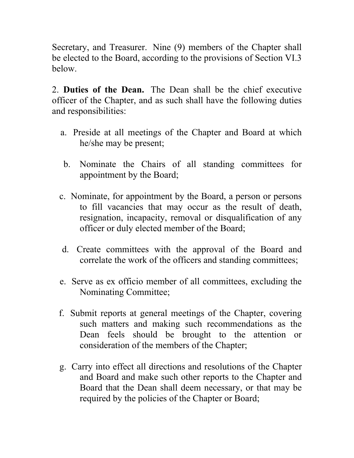Secretary, and Treasurer. Nine (9) members of the Chapter shall be elected to the Board, according to the provisions of Section VI.3 below.

2. **Duties of the Dean.** The Dean shall be the chief executive officer of the Chapter, and as such shall have the following duties and responsibilities:

- a. Preside at all meetings of the Chapter and Board at which he/she may be present;
- b. Nominate the Chairs of all standing committees for appointment by the Board;
- c. Nominate, for appointment by the Board, a person or persons to fill vacancies that may occur as the result of death, resignation, incapacity, removal or disqualification of any officer or duly elected member of the Board;
- d. Create committees with the approval of the Board and correlate the work of the officers and standing committees;
- e. Serve as ex officio member of all committees, excluding the Nominating Committee;
- f. Submit reports at general meetings of the Chapter, covering such matters and making such recommendations as the Dean feels should be brought to the attention or consideration of the members of the Chapter;
- g. Carry into effect all directions and resolutions of the Chapter and Board and make such other reports to the Chapter and Board that the Dean shall deem necessary, or that may be required by the policies of the Chapter or Board;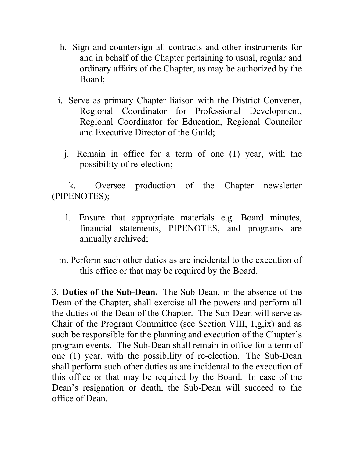- h. Sign and countersign all contracts and other instruments for and in behalf of the Chapter pertaining to usual, regular and ordinary affairs of the Chapter, as may be authorized by the Board;
- i. Serve as primary Chapter liaison with the District Convener, Regional Coordinator for Professional Development, Regional Coordinator for Education, Regional Councilor and Executive Director of the Guild;
	- j. Remain in office for a term of one (1) year, with the possibility of re-election;

 k. Oversee production of the Chapter newsletter (PIPENOTES);

- l. Ensure that appropriate materials e.g. Board minutes, financial statements, PIPENOTES, and programs are annually archived;
- m. Perform such other duties as are incidental to the execution of this office or that may be required by the Board.

3. **Duties of the Sub-Dean.** The Sub-Dean, in the absence of the Dean of the Chapter, shall exercise all the powers and perform all the duties of the Dean of the Chapter. The Sub-Dean will serve as Chair of the Program Committee (see Section VIII, 1,g,ix) and as such be responsible for the planning and execution of the Chapter's program events. The Sub-Dean shall remain in office for a term of one (1) year, with the possibility of re-election. The Sub-Dean shall perform such other duties as are incidental to the execution of this office or that may be required by the Board. In case of the Dean's resignation or death, the Sub-Dean will succeed to the office of Dean.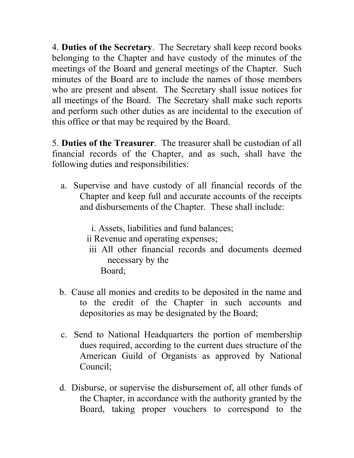4. **Duties of the Secretary**. The Secretary shall keep record books belonging to the Chapter and have custody of the minutes of the meetings of the Board and general meetings of the Chapter. Such minutes of the Board are to include the names of those members who are present and absent. The Secretary shall issue notices for all meetings of the Board. The Secretary shall make such reports and perform such other duties as are incidental to the execution of this office or that may be required by the Board.

5. **Duties of the Treasurer**. The treasurer shall be custodian of all financial records of the Chapter, and as such, shall have the following duties and responsibilities:

 a. Supervise and have custody of all financial records of the Chapter and keep full and accurate accounts of the receipts and disbursements of the Chapter. These shall include:

i. Assets, liabilities and fund balances;

- ii Revenue and operating expenses;
- iii All other financial records and documents deemed necessary by the Board;
- b. Cause all monies and credits to be deposited in the name and to the credit of the Chapter in such accounts and depositories as may be designated by the Board;
- c. Send to National Headquarters the portion of membership dues required, according to the current dues structure of the American Guild of Organists as approved by National Council;
- d. Disburse, or supervise the disbursement of, all other funds of the Chapter, in accordance with the authority granted by the Board, taking proper vouchers to correspond to the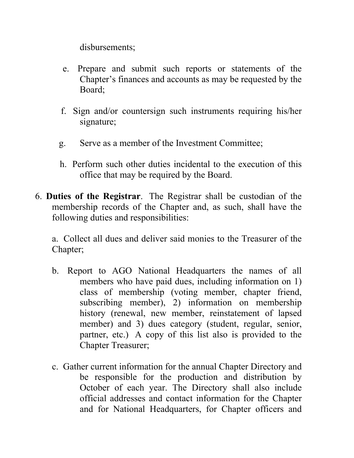disbursements;

- e. Prepare and submit such reports or statements of the Chapter's finances and accounts as may be requested by the Board;
- f. Sign and/or countersign such instruments requiring his/her signature;
- g. Serve as a member of the Investment Committee;
- h. Perform such other duties incidental to the execution of this office that may be required by the Board.
- 6. **Duties of the Registrar**. The Registrar shall be custodian of the membership records of the Chapter and, as such, shall have the following duties and responsibilities:

a. Collect all dues and deliver said monies to the Treasurer of the Chapter;

- b. Report to AGO National Headquarters the names of all members who have paid dues, including information on 1) class of membership (voting member, chapter friend, subscribing member), 2) information on membership history (renewal, new member, reinstatement of lapsed member) and 3) dues category (student, regular, senior, partner, etc.) A copy of this list also is provided to the Chapter Treasurer;
- c. Gather current information for the annual Chapter Directory and be responsible for the production and distribution by October of each year. The Directory shall also include official addresses and contact information for the Chapter and for National Headquarters, for Chapter officers and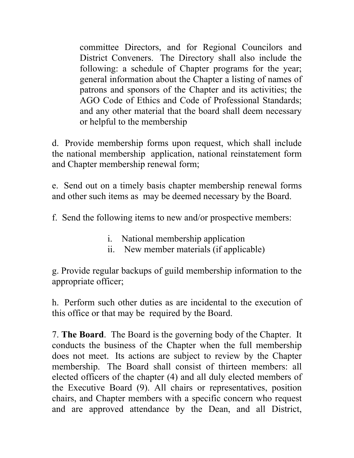committee Directors, and for Regional Councilors and District Conveners. The Directory shall also include the following: a schedule of Chapter programs for the year; general information about the Chapter a listing of names of patrons and sponsors of the Chapter and its activities; the AGO Code of Ethics and Code of Professional Standards; and any other material that the board shall deem necessary or helpful to the membership

d. Provide membership forms upon request, which shall include the national membership application, national reinstatement form and Chapter membership renewal form;

e. Send out on a timely basis chapter membership renewal forms and other such items as may be deemed necessary by the Board.

f. Send the following items to new and/or prospective members:

- i. National membership application
- ii. New member materials (if applicable)

g. Provide regular backups of guild membership information to the appropriate officer;

h. Perform such other duties as are incidental to the execution of this office or that may be required by the Board.

7. **The Board**. The Board is the governing body of the Chapter. It conducts the business of the Chapter when the full membership does not meet. Its actions are subject to review by the Chapter membership. The Board shall consist of thirteen members: all elected officers of the chapter (4) and all duly elected members of the Executive Board (9). All chairs or representatives, position chairs, and Chapter members with a specific concern who request and are approved attendance by the Dean, and all District,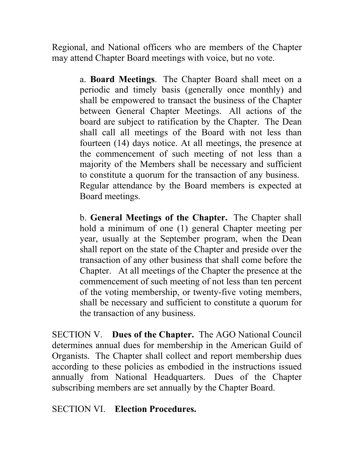Regional, and National officers who are members of the Chapter may attend Chapter Board meetings with voice, but no vote.

> a. **Board Meetings**. The Chapter Board shall meet on a periodic and timely basis (generally once monthly) and shall be empowered to transact the business of the Chapter between General Chapter Meetings. All actions of the board are subject to ratification by the Chapter. The Dean shall call all meetings of the Board with not less than fourteen (14) days notice. At all meetings, the presence at the commencement of such meeting of not less than a majority of the Members shall be necessary and sufficient to constitute a quorum for the transaction of any business. Regular attendance by the Board members is expected at Board meetings.

> b. **General Meetings of the Chapter.** The Chapter shall hold a minimum of one (1) general Chapter meeting per year, usually at the September program, when the Dean shall report on the state of the Chapter and preside over the transaction of any other business that shall come before the Chapter. At all meetings of the Chapter the presence at the commencement of such meeting of not less than ten percent of the voting membership, or twenty-five voting members, shall be necessary and sufficient to constitute a quorum for the transaction of any business.

SECTION V. **Dues of the Chapter.** The AGO National Council determines annual dues for membership in the American Guild of Organists. The Chapter shall collect and report membership dues according to these policies as embodied in the instructions issued annually from National Headquarters. Dues of the Chapter subscribing members are set annually by the Chapter Board.

## SECTION VI. **Election Procedures.**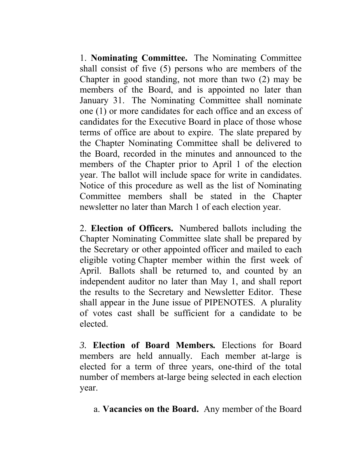1. **Nominating Committee.** The Nominating Committee shall consist of five (5) persons who are members of the Chapter in good standing, not more than two (2) may be members of the Board, and is appointed no later than January 31. The Nominating Committee shall nominate one (1) or more candidates for each office and an excess of candidates for the Executive Board in place of those whose terms of office are about to expire. The slate prepared by the Chapter Nominating Committee shall be delivered to the Board, recorded in the minutes and announced to the members of the Chapter prior to April 1 of the election year. The ballot will include space for write in candidates. Notice of this procedure as well as the list of Nominating Committee members shall be stated in the Chapter newsletter no later than March 1 of each election year.

2. **Election of Officers.** Numbered ballots including the Chapter Nominating Committee slate shall be prepared by the Secretary or other appointed officer and mailed to each eligible voting Chapter member within the first week of April. Ballots shall be returned to, and counted by an independent auditor no later than May 1, and shall report the results to the Secretary and Newsletter Editor. These shall appear in the June issue of PIPENOTES. A plurality of votes cast shall be sufficient for a candidate to be elected.

*3.* **Election of Board Members***.* Elections for Board members are held annually*.* Each member at-large is elected for a term of three years, one-third of the total number of members at-large being selected in each election year.

a. **Vacancies on the Board.** Any member of the Board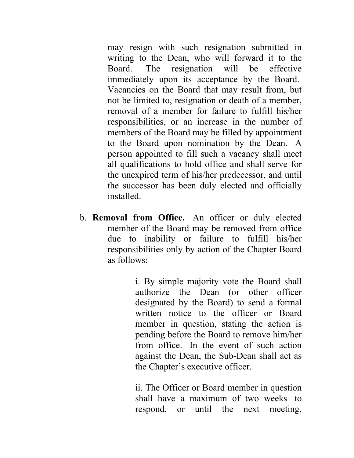may resign with such resignation submitted in writing to the Dean, who will forward it to the Board. The resignation will be effective immediately upon its acceptance by the Board. Vacancies on the Board that may result from, but not be limited to, resignation or death of a member, removal of a member for failure to fulfill his/her responsibilities, or an increase in the number of members of the Board may be filled by appointment to the Board upon nomination by the Dean. A person appointed to fill such a vacancy shall meet all qualifications to hold office and shall serve for the unexpired term of his/her predecessor, and until the successor has been duly elected and officially installed.

b. **Removal from Office.** An officer or duly elected member of the Board may be removed from office due to inability or failure to fulfill his/her responsibilities only by action of the Chapter Board as follows:

> i. By simple majority vote the Board shall authorize the Dean (or other officer designated by the Board) to send a formal written notice to the officer or Board member in question, stating the action is pending before the Board to remove him/her from office. In the event of such action against the Dean, the Sub-Dean shall act as the Chapter's executive officer.

> ii. The Officer or Board member in question shall have a maximum of two weeks to respond, or until the next meeting,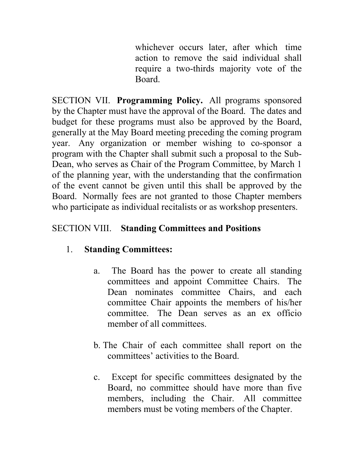whichever occurs later, after which time action to remove the said individual shall require a two-thirds majority vote of the Board.

SECTION VII. **Programming Policy.** All programs sponsored by the Chapter must have the approval of the Board. The dates and budget for these programs must also be approved by the Board, generally at the May Board meeting preceding the coming program year. Any organization or member wishing to co-sponsor a program with the Chapter shall submit such a proposal to the Sub-Dean, who serves as Chair of the Program Committee, by March 1 of the planning year, with the understanding that the confirmation of the event cannot be given until this shall be approved by the Board. Normally fees are not granted to those Chapter members who participate as individual recitalists or as workshop presenters.

## SECTION VIII. **Standing Committees and Positions**

## 1. **Standing Committees:**

- a. The Board has the power to create all standing committees and appoint Committee Chairs. The Dean nominates committee Chairs, and each committee Chair appoints the members of his/her committee. The Dean serves as an ex officio member of all committees.
- b. The Chair of each committee shall report on the committees' activities to the Board.
- c. Except for specific committees designated by the Board, no committee should have more than five members, including the Chair. All committee members must be voting members of the Chapter.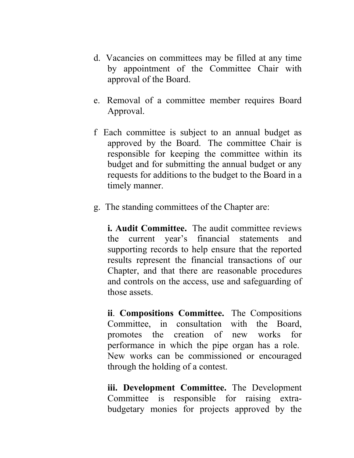- d. Vacancies on committees may be filled at any time by appointment of the Committee Chair with approval of the Board.
- e. Removal of a committee member requires Board Approval.
- f Each committee is subject to an annual budget as approved by the Board. The committee Chair is responsible for keeping the committee within its budget and for submitting the annual budget or any requests for additions to the budget to the Board in a timely manner.
- g. The standing committees of the Chapter are:

**i. Audit Committee.** The audit committee reviews the current year's financial statements and supporting records to help ensure that the reported results represent the financial transactions of our Chapter, and that there are reasonable procedures and controls on the access, use and safeguarding of those assets.

**ii**. **Compositions Committee.** The Compositions Committee, in consultation with the Board, promotes the creation of new works for performance in which the pipe organ has a role. New works can be commissioned or encouraged through the holding of a contest.

**iii. Development Committee.** The Development Committee is responsible for raising extrabudgetary monies for projects approved by the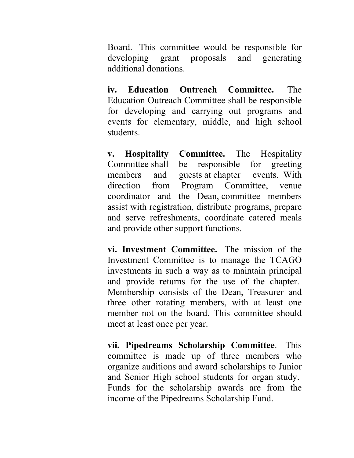Board. This committee would be responsible for developing grant proposals and generating additional donations.

**iv. Education Outreach Committee.** The Education Outreach Committee shall be responsible for developing and carrying out programs and events for elementary, middle, and high school students.

**v. Hospitality Committee.** The Hospitality Committee shall be responsible for greeting members and guests at chapter events. With direction from Program Committee, venue coordinator and the Dean, committee members assist with registration, distribute programs, prepare and serve refreshments, coordinate catered meals and provide other support functions.

**vi. Investment Committee.** The mission of the Investment Committee is to manage the TCAGO investments in such a way as to maintain principal and provide returns for the use of the chapter. Membership consists of the Dean, Treasurer and three other rotating members, with at least one member not on the board. This committee should meet at least once per year.

**vii. Pipedreams Scholarship Committee**. This committee is made up of three members who organize auditions and award scholarships to Junior and Senior High school students for organ study. Funds for the scholarship awards are from the income of the Pipedreams Scholarship Fund.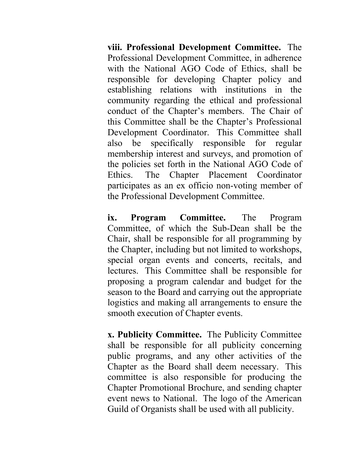**viii. Professional Development Committee.** The Professional Development Committee, in adherence with the National AGO Code of Ethics, shall be responsible for developing Chapter policy and establishing relations with institutions in the community regarding the ethical and professional conduct of the Chapter's members. The Chair of this Committee shall be the Chapter's Professional Development Coordinator. This Committee shall also be specifically responsible for regular membership interest and surveys, and promotion of the policies set forth in the National AGO Code of Ethics. The Chapter Placement Coordinator participates as an ex officio non-voting member of the Professional Development Committee.

**ix. Program Committee.** The Program Committee, of which the Sub-Dean shall be the Chair, shall be responsible for all programming by the Chapter, including but not limited to workshops, special organ events and concerts, recitals, and lectures. This Committee shall be responsible for proposing a program calendar and budget for the season to the Board and carrying out the appropriate logistics and making all arrangements to ensure the smooth execution of Chapter events.

**x. Publicity Committee.** The Publicity Committee shall be responsible for all publicity concerning public programs, and any other activities of the Chapter as the Board shall deem necessary. This committee is also responsible for producing the Chapter Promotional Brochure, and sending chapter event news to National. The logo of the American Guild of Organists shall be used with all publicity.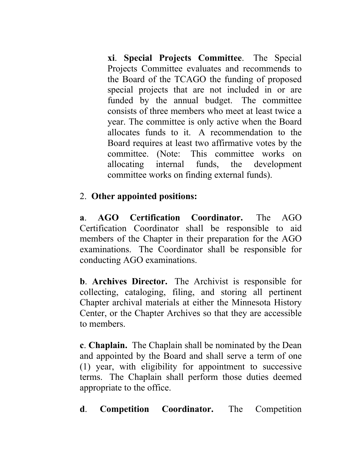**xi**. **Special Projects Committee**. The Special Projects Committee evaluates and recommends to the Board of the TCAGO the funding of proposed special projects that are not included in or are funded by the annual budget. The committee consists of three members who meet at least twice a year. The committee is only active when the Board allocates funds to it. A recommendation to the Board requires at least two affirmative votes by the committee. (Note: This committee works on allocating internal funds, the development committee works on finding external funds).

## 2. **Other appointed positions:**

**a**. **AGO Certification Coordinator.** The AGO Certification Coordinator shall be responsible to aid members of the Chapter in their preparation for the AGO examinations. The Coordinator shall be responsible for conducting AGO examinations.

**b**. **Archives Director.** The Archivist is responsible for collecting, cataloging, filing, and storing all pertinent Chapter archival materials at either the Minnesota History Center, or the Chapter Archives so that they are accessible to members.

**c**. **Chaplain.** The Chaplain shall be nominated by the Dean and appointed by the Board and shall serve a term of one (1) year, with eligibility for appointment to successive terms. The Chaplain shall perform those duties deemed appropriate to the office.

**d**. **Competition Coordinator.** The Competition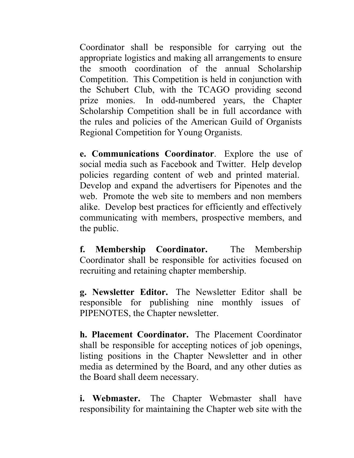Coordinator shall be responsible for carrying out the appropriate logistics and making all arrangements to ensure the smooth coordination of the annual Scholarship Competition. This Competition is held in conjunction with the Schubert Club, with the TCAGO providing second prize monies. In odd-numbered years, the Chapter Scholarship Competition shall be in full accordance with the rules and policies of the American Guild of Organists Regional Competition for Young Organists.

**e. Communications Coordinator**. Explore the use of social media such as Facebook and Twitter. Help develop policies regarding content of web and printed material. Develop and expand the advertisers for Pipenotes and the web. Promote the web site to members and non members alike. Develop best practices for efficiently and effectively communicating with members, prospective members, and the public.

**f. Membership Coordinator.** The Membership Coordinator shall be responsible for activities focused on recruiting and retaining chapter membership.

**g. Newsletter Editor.** The Newsletter Editor shall be responsible for publishing nine monthly issues of PIPENOTES, the Chapter newsletter.

**h. Placement Coordinator.** The Placement Coordinator shall be responsible for accepting notices of job openings, listing positions in the Chapter Newsletter and in other media as determined by the Board, and any other duties as the Board shall deem necessary.

**i. Webmaster.** The Chapter Webmaster shall have responsibility for maintaining the Chapter web site with the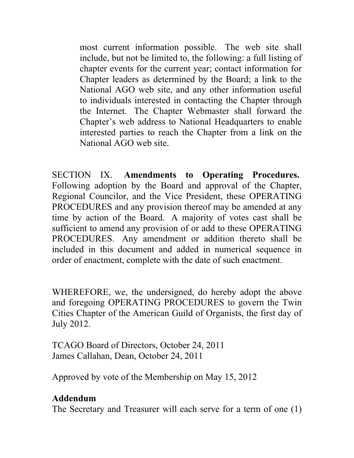most current information possible. The web site shall include, but not be limited to, the following: a full listing of chapter events for the current year; contact information for Chapter leaders as determined by the Board; a link to the National AGO web site, and any other information useful to individuals interested in contacting the Chapter through the Internet. The Chapter Webmaster shall forward the Chapter's web address to National Headquarters to enable interested parties to reach the Chapter from a link on the National AGO web site.

SECTION IX. **Amendments to Operating Procedures.**  Following adoption by the Board and approval of the Chapter, Regional Councilor, and the Vice President, these OPERATING PROCEDURES and any provision thereof may be amended at any time by action of the Board. A majority of votes cast shall be sufficient to amend any provision of or add to these OPERATING PROCEDURES. Any amendment or addition thereto shall be included in this document and added in numerical sequence in order of enactment, complete with the date of such enactment.

WHEREFORE, we, the undersigned, do hereby adopt the above and foregoing OPERATING PROCEDURES to govern the Twin Cities Chapter of the American Guild of Organists, the first day of July 2012.

TCAGO Board of Directors, October 24, 2011 James Callahan, Dean, October 24, 2011

Approved by vote of the Membership on May 15, 2012

## **Addendum**

The Secretary and Treasurer will each serve for a term of one (1)